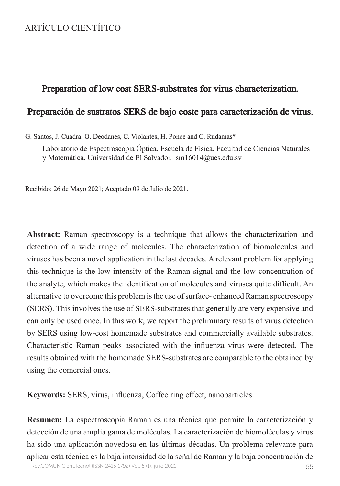# ARTÍCULO CIENTÍFICO

# Preparation of low cost SERS-substrates for virus characterization.

# Preparación de sustratos SERS de bajo coste para caracterización de virus.

#### G. Santos, J. Cuadra, O. Deodanes, C. Violantes, H. Ponce and C. Rudamas\*

Laboratorio de Espectroscopia Óptica, Escuela de Física, Facultad de Ciencias Naturales y Matemática, Universidad de El Salvador. sm16014@ues.edu.sv

Recibido: 26 de Mayo 2021; Aceptado 09 de Julio de 2021.

**Abstract:** Raman spectroscopy is a technique that allows the characterization and detection of a wide range of molecules. The characterization of biomolecules and viruses has been a novel application in the last decades. A relevant problem for applying this technique is the low intensity of the Raman signal and the low concentration of the analyte, which makes the identification of molecules and viruses quite difficult. An alternative to overcome this problem is the use of surface- enhanced Raman spectroscopy (SERS). This involves the use of SERS-substrates that generally are very expensive and can only be used once. In this work, we report the preliminary results of virus detection by SERS using low-cost homemade substrates and commercially available substrates. Characteristic Raman peaks associated with the influenza virus were detected. The results obtained with the homemade SERS-substrates are comparable to the obtained by using the comercial ones.

**Keywords:** SERS, virus, influenza, Coffee ring effect, nanoparticles.

**Resumen:** La espectroscopia Raman es una técnica que permite la caracterización y detección de una amplia gama de moléculas. La caracterización de biomoléculas y virus ha sido una aplicación novedosa en las últimas décadas. Un problema relevante para aplicar esta técnica es la baja intensidad de la señal de Raman y la baja concentración de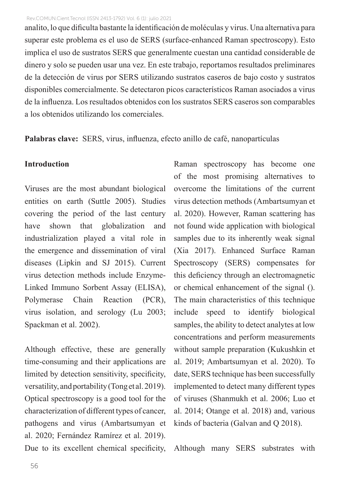analito, lo que dificulta bastante la identificación de moléculas y virus. Una alternativa para superar este problema es el uso de SERS (surface-enhanced Raman spectroscopy). Esto implica el uso de sustratos SERS que generalmente cuestan una cantidad considerable de dinero y solo se pueden usar una vez. En este trabajo, reportamos resultados preliminares de la detección de virus por SERS utilizando sustratos caseros de bajo costo y sustratos disponibles comercialmente. Se detectaron picos característicos Raman asociados a virus de la influenza. Los resultados obtenidos con los sustratos SERS caseros son comparables a los obtenidos utilizando los comerciales.

**Palabras clave:** SERS, virus, influenza, efecto anillo de café, nanopartículas

### **Introduction**

Viruses are the most abundant biological entities on earth (Suttle 2005). Studies covering the period of the last century have shown that globalization and industrialization played a vital role in the emergence and dissemination of viral diseases (Lipkin and SJ 2015). Current virus detection methods include Enzyme-Linked Immuno Sorbent Assay (ELISA), Polymerase Chain Reaction (PCR), virus isolation, and serology (Lu 2003; Spackman et al. 2002).

Although effective, these are generally time-consuming and their applications are limited by detection sensitivity, specificity, versatility, and portability (Tong et al. 2019). Optical spectroscopy is a good tool for the characterization of different types of cancer, pathogens and virus (Ambartsumyan et al. 2020; Fernández Ramírez et al. 2019). Due to its excellent chemical specificity, Raman spectroscopy has become one of the most promising alternatives to overcome the limitations of the current virus detection methods (Ambartsumyan et al. 2020). However, Raman scattering has not found wide application with biological samples due to its inherently weak signal (Xia 2017). Enhanced Surface Raman Spectroscopy (SERS) compensates for this deficiency through an electromagnetic or chemical enhancement of the signal (). The main characteristics of this technique include speed to identify biological samples, the ability to detect analytes at low concentrations and perform measurements without sample preparation (Kukushkin et al. 2019; Ambartsumyan et al. 2020). To date, SERS technique has been successfully implemented to detect many different types of viruses (Shanmukh et al. 2006; Luo et al. 2014; Otange et al. 2018) and, various kinds of bacteria (Galvan and Q 2018).

Although many SERS substrates with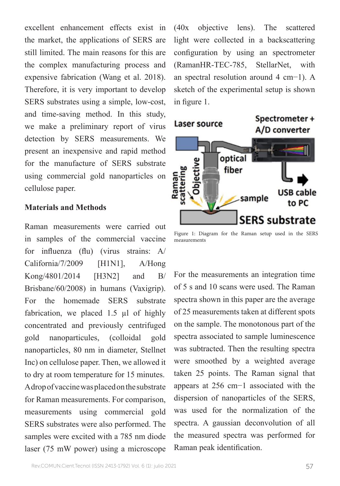excellent enhancement effects exist in the market, the applications of SERS are still limited. The main reasons for this are the complex manufacturing process and expensive fabrication (Wang et al. 2018). Therefore, it is very important to develop SERS substrates using a simple, low-cost, and time-saving method. In this study, we make a preliminary report of virus detection by SERS measurements. We present an inexpensive and rapid method for the manufacture of SERS substrate using commercial gold nanoparticles on cellulose paper.

### **Materials and Methods**

Raman measurements were carried out in samples of the commercial vaccine for influenza (flu) (virus strains: A/ California/7/2009 [H1N1], A/Hong Kong/4801/2014 [H3N2] and B/ Brisbane/60/2008) in humans (Vaxigrip). For the homemade SERS substrate fabrication, we placed 1.5 µl of highly concentrated and previously centrifuged gold nanoparticules, (colloidal gold nanoparticles, 80 nm in diameter, Stellnet Inc) on cellulose paper. Then, we allowed it to dry at room temperature for 15 minutes. A drop of vaccine was placed on the substrate for Raman measurements. For comparison, measurements using commercial gold SERS substrates were also performed. The samples were excited with a 785 nm diode laser (75 mW power) using a microscope

(40x objective lens). The scattered light were collected in a backscattering configuration by using an spectrometer (RamanHR-TEC-785, StellarNet, with an spectral resolution around 4 cm−1). A sketch of the experimental setup is shown in figure 1.



Figure 1: Diagram for the Raman setup used in the SERS measurements

For the measurements an integration time of 5 s and 10 scans were used. The Raman spectra shown in this paper are the average of 25 measurements taken at different spots on the sample. The monotonous part of the spectra associated to sample luminescence was subtracted. Then the resulting spectra were smoothed by a weighted average taken 25 points. The Raman signal that appears at 256 cm−1 associated with the dispersion of nanoparticles of the SERS, was used for the normalization of the spectra. A gaussian deconvolution of all the measured spectra was performed for Raman peak identification.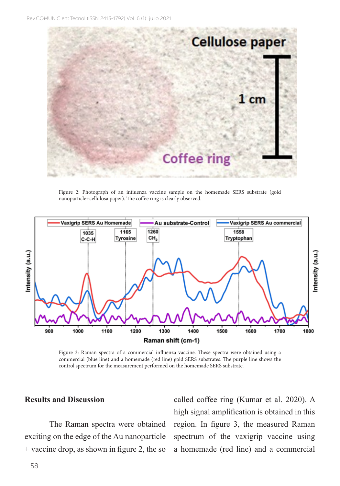

Figure 2: Photograph of an influenza vaccine sample on the homemade SERS substrate (gold nanoparticle+cellulosa paper). The coffee ring is clearly observed.



Figure 3: Raman spectra of a commercial influenza vaccine. These spectra were obtained using a commercial (blue line) and a homemade (red line) gold SERS substrates. The purple line shows the control spectrum for the measurement performed on the homemade SERS substrate.

#### **Results and Discussion**

The Raman spectra were obtained exciting on the edge of the Au nanoparticle + vaccine drop, as shown in figure 2, the so

called coffee ring (Kumar et al. 2020). A high signal amplification is obtained in this region. In figure 3, the measured Raman spectrum of the vaxigrip vaccine using a homemade (red line) and a commercial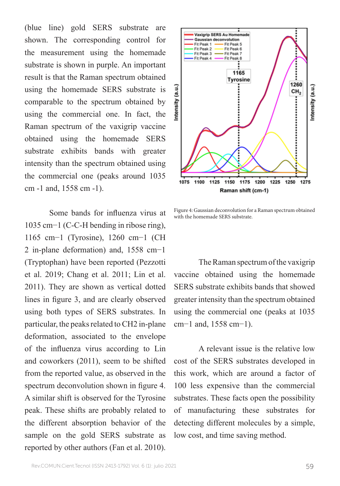(blue line) gold SERS substrate are shown. The corresponding control for the measurement using the homemade substrate is shown in purple. An important result is that the Raman spectrum obtained using the homemade SERS substrate is comparable to the spectrum obtained by using the commercial one. In fact, the Raman spectrum of the vaxigrip vaccine obtained using the homemade SERS substrate exhibits bands with greater intensity than the spectrum obtained using the commercial one (peaks around 1035 cm -1 and, 1558 cm -1).

Some bands for influenza virus at 1035 cm−1 (C-C-H bending in ribose ring), 1165 cm−1 (Tyrosine), 1260 cm−1 (CH 2 in-plane deformation) and, 1558 cm−1 (Tryptophan) have been reported (Pezzotti et al. 2019; Chang et al. 2011; Lin et al. 2011). They are shown as vertical dotted lines in figure 3, and are clearly observed using both types of SERS substrates. In particular, the peaks related to CH2 in-plane deformation, associated to the envelope of the influenza virus according to Lin and coworkers (2011), seem to be shifted from the reported value, as observed in the spectrum deconvolution shown in figure 4. A similar shift is observed for the Tyrosine peak. These shifts are probably related to the different absorption behavior of the sample on the gold SERS substrate as reported by other authors (Fan et al. 2010).



Figure 4: Gaussian deconvolution for a Raman spectrum obtained with the homemade SERS substrate.

The Raman spectrum of the vaxigrip vaccine obtained using the homemade SERS substrate exhibits bands that showed greater intensity than the spectrum obtained using the commercial one (peaks at 1035 cm−1 and, 1558 cm−1).

A relevant issue is the relative low cost of the SERS substrates developed in this work, which are around a factor of 100 less expensive than the commercial substrates. These facts open the possibility of manufacturing these substrates for detecting different molecules by a simple, low cost, and time saving method.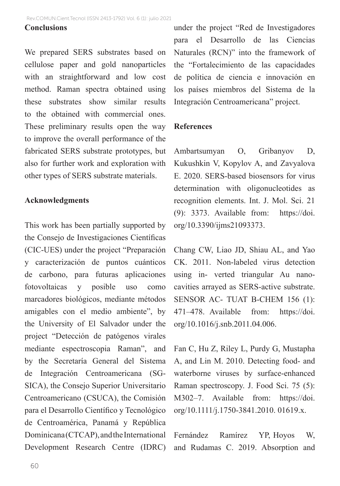#### **Conclusions**

We prepared SERS substrates based on cellulose paper and gold nanoparticles with an straightforward and low cost method. Raman spectra obtained using these substrates show similar results to the obtained with commercial ones. These preliminary results open the way to improve the overall performance of the fabricated SERS substrate prototypes, but also for further work and exploration with other types of SERS substrate materials.

## **Acknowledgments**

This work has been partially supported by the Consejo de Investigaciones Científicas (CIC-UES) under the project "Preparación y caracterización de puntos cuánticos de carbono, para futuras aplicaciones fotovoltaicas y posible uso como marcadores biológicos, mediante métodos amigables con el medio ambiente", by the University of El Salvador under the project "Detección de patógenos virales mediante espectroscopia Raman", and by the Secretaría General del Sistema de Integración Centroamericana (SG-SICA), the Consejo Superior Universitario Centroamericano (CSUCA), the Comisión para el Desarrollo Científico y Tecnológico de Centroamérica, Panamá y República Dominicana (CTCAP), and the International Development Research Centre (IDRC) under the project "Red de Investigadores para el Desarrollo de las Ciencias Naturales (RCN)" into the framework of the "Fortalecimiento de las capacidades de política de ciencia e innovación en los países miembros del Sistema de la Integración Centroamericana" project.

#### **References**

Ambartsumyan O, Gribanyov D, Kukushkin V, Kopylov A, and Zavyalova E. 2020. SERS-based biosensors for virus determination with oligonucleotides as recognition elements. Int. J. Mol. Sci. 21 (9): 3373. Available from: https://doi. org/10.3390/ijms21093373.

Chang CW, Liao JD, Shiau AL, and Yao CK. 2011. Non-labeled virus detection using in- verted triangular Au nanocavities arrayed as SERS-active substrate. SENSOR AC- TUAT B-CHEM 156 (1): 471–478. Available from: https://doi. org/10.1016/j.snb.2011.04.006.

Fan C, Hu Z, Riley L, Purdy G, Mustapha A, and Lin M. 2010. Detecting food- and waterborne viruses by surface-enhanced Raman spectroscopy. J. Food Sci. 75 (5): M302–7. Available from: https://doi. org/10.1111/j.1750-3841.2010. 01619.x.

Fernández Ramírez YP, Hoyos W, and Rudamas C. 2019. Absorption and